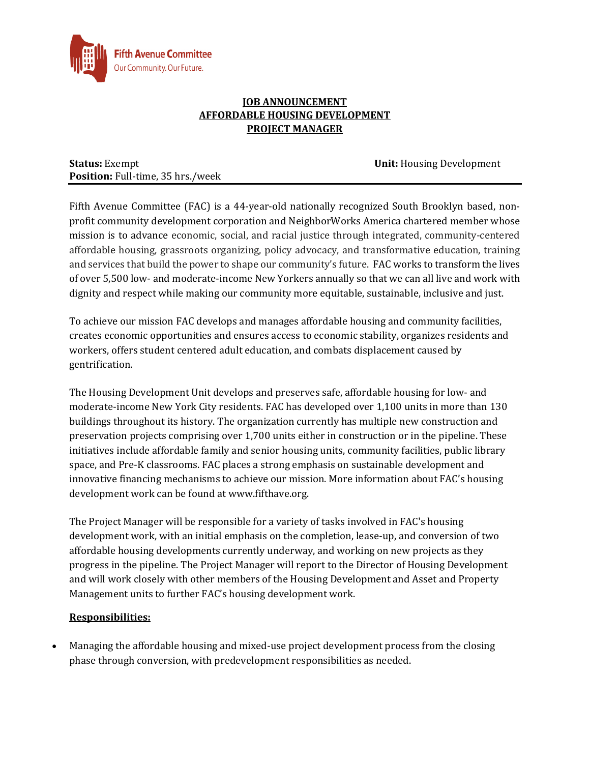

### **JOB ANNOUNCEMENT AFFORDABLE HOUSING DEVELOPMENT PROJECT MANAGER**

**Status:** Exempt **Unit:** *Housing Development* **Position:** Full-time, 35 hrs./week

Fifth Avenue Committee (FAC) is a 44-year-old nationally recognized South Brooklyn based, nonprofit community development corporation and NeighborWorks America chartered member whose mission is to advance economic, social, and racial justice through integrated, community-centered affordable housing, grassroots organizing, policy advocacy, and transformative education, training and services that build the power to shape our community's future. FAC works to transform the lives of over 5,500 low- and moderate-income New Yorkers annually so that we can all live and work with dignity and respect while making our community more equitable, sustainable, inclusive and just.

To achieve our mission FAC develops and manages affordable housing and community facilities, creates economic opportunities and ensures access to economic stability, organizes residents and workers, offers student centered adult education, and combats displacement caused by gentrification.

The Housing Development Unit develops and preserves safe, affordable housing for low- and moderate-income New York City residents. FAC has developed over 1,100 units in more than 130 buildings throughout its history. The organization currently has multiple new construction and preservation projects comprising over 1,700 units either in construction or in the pipeline. These initiatives include affordable family and senior housing units, community facilities, public library space, and Pre-K classrooms. FAC places a strong emphasis on sustainable development and innovative financing mechanisms to achieve our mission. More information about FAC's housing development work can be found at www.fifthave.org.

The Project Manager will be responsible for a variety of tasks involved in FAC's housing development work, with an initial emphasis on the completion, lease-up, and conversion of two affordable housing developments currently underway, and working on new projects as they progress in the pipeline. The Project Manager will report to the Director of Housing Development and will work closely with other members of the Housing Development and Asset and Property Management units to further FAC's housing development work.

# **Responsibilities:**

• Managing the affordable housing and mixed-use project development process from the closing phase through conversion, with predevelopment responsibilities as needed.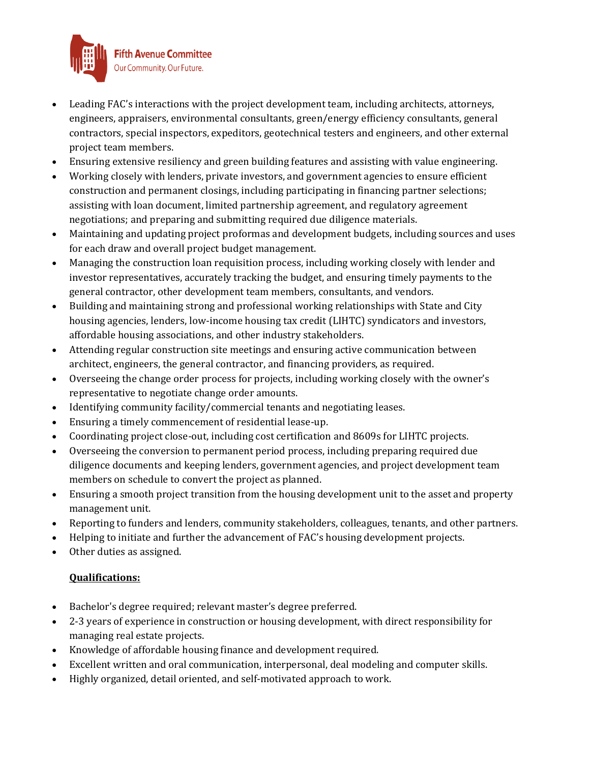

- Leading FAC's interactions with the project development team, including architects, attorneys, engineers, appraisers, environmental consultants, green/energy efficiency consultants, general contractors, special inspectors, expeditors, geotechnical testers and engineers, and other external project team members.
- Ensuring extensive resiliency and green building features and assisting with value engineering.
- Working closely with lenders, private investors, and government agencies to ensure efficient construction and permanent closings, including participating in financing partner selections; assisting with loan document, limited partnership agreement, and regulatory agreement negotiations; and preparing and submitting required due diligence materials.
- Maintaining and updating project proformas and development budgets, including sources and uses for each draw and overall project budget management.
- Managing the construction loan requisition process, including working closely with lender and investor representatives, accurately tracking the budget, and ensuring timely payments to the general contractor, other development team members, consultants, and vendors.
- Building and maintaining strong and professional working relationships with State and City housing agencies, lenders, low-income housing tax credit (LIHTC) syndicators and investors, affordable housing associations, and other industry stakeholders.
- Attending regular construction site meetings and ensuring active communication between architect, engineers, the general contractor, and financing providers, as required.
- Overseeing the change order process for projects, including working closely with the owner's representative to negotiate change order amounts.
- Identifying community facility/commercial tenants and negotiating leases.
- Ensuring a timely commencement of residential lease-up.
- Coordinating project close-out, including cost certification and 8609s for LIHTC projects.
- Overseeing the conversion to permanent period process, including preparing required due diligence documents and keeping lenders, government agencies, and project development team members on schedule to convert the project as planned.
- Ensuring a smooth project transition from the housing development unit to the asset and property management unit.
- Reporting to funders and lenders, community stakeholders, colleagues, tenants, and other partners.
- Helping to initiate and further the advancement of FAC's housing development projects.
- Other duties as assigned.

# **Qualifications:**

- Bachelor's degree required; relevant master's degree preferred.
- 2-3 years of experience in construction or housing development, with direct responsibility for managing real estate projects.
- Knowledge of affordable housing finance and development required.
- Excellent written and oral communication, interpersonal, deal modeling and computer skills.
- Highly organized, detail oriented, and self-motivated approach to work.